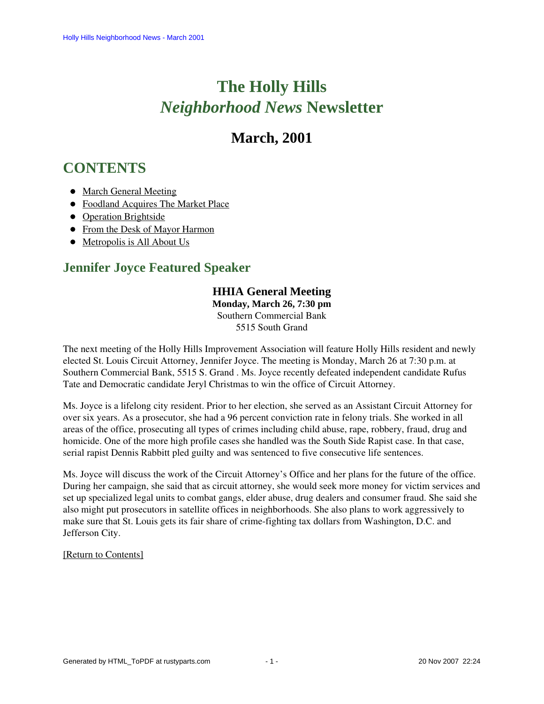# **The Holly Hills**  *Neighborhood News* **Newsletter**

## **March, 2001**

## <span id="page-0-2"></span>**CONTENTS**

- [March General Meeting](#page-0-0)
- [Foodland Acquires The Market Place](#page-0-1)
- [Operation Brightside](#page-1-0)
- [From the Desk of Mayor Harmon](#page-1-1)
- [Metropolis is All About Us](#page-2-0)

## <span id="page-0-0"></span>**Jennifer Joyce Featured Speaker**

### **HHIA General Meeting**

**Monday, March 26, 7:30 pm** Southern Commercial Bank 5515 South Grand

The next meeting of the Holly Hills Improvement Association will feature Holly Hills resident and newly elected St. Louis Circuit Attorney, Jennifer Joyce. The meeting is Monday, March 26 at 7:30 p.m. at Southern Commercial Bank, 5515 S. Grand . Ms. Joyce recently defeated independent candidate Rufus Tate and Democratic candidate Jeryl Christmas to win the office of Circuit Attorney.

Ms. Joyce is a lifelong city resident. Prior to her election, she served as an Assistant Circuit Attorney for over six years. As a prosecutor, she had a 96 percent conviction rate in felony trials. She worked in all areas of the office, prosecuting all types of crimes including child abuse, rape, robbery, fraud, drug and homicide. One of the more high profile cases she handled was the South Side Rapist case. In that case, serial rapist Dennis Rabbitt pled guilty and was sentenced to five consecutive life sentences.

Ms. Joyce will discuss the work of the Circuit Attorney's Office and her plans for the future of the office. During her campaign, she said that as circuit attorney, she would seek more money for victim services and set up specialized legal units to combat gangs, elder abuse, drug dealers and consumer fraud. She said she also might put prosecutors in satellite offices in neighborhoods. She also plans to work aggressively to make sure that St. Louis gets its fair share of crime-fighting tax dollars from Washington, D.C. and Jefferson City.

#### <span id="page-0-1"></span>[\[Return to Contents\]](#page-0-2)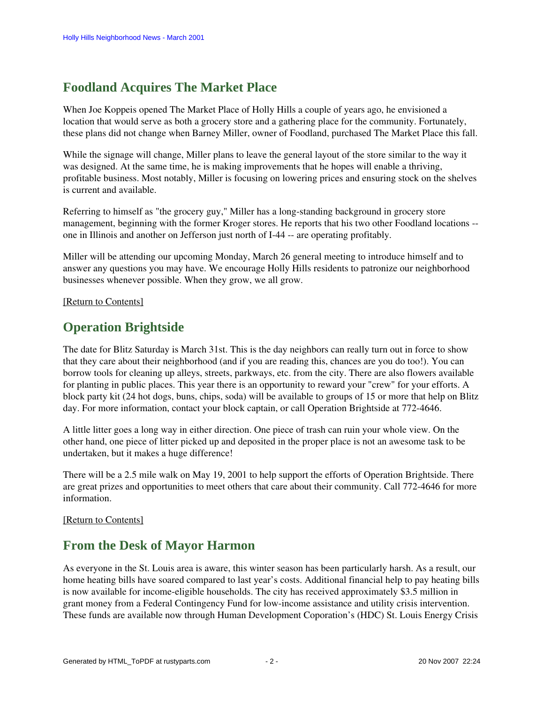## **Foodland Acquires The Market Place**

When Joe Koppeis opened The Market Place of Holly Hills a couple of years ago, he envisioned a location that would serve as both a grocery store and a gathering place for the community. Fortunately, these plans did not change when Barney Miller, owner of Foodland, purchased The Market Place this fall.

While the signage will change, Miller plans to leave the general layout of the store similar to the way it was designed. At the same time, he is making improvements that he hopes will enable a thriving, profitable business. Most notably, Miller is focusing on lowering prices and ensuring stock on the shelves is current and available.

Referring to himself as "the grocery guy," Miller has a long-standing background in grocery store management, beginning with the former Kroger stores. He reports that his two other Foodland locations - one in Illinois and another on Jefferson just north of I-44 -- are operating profitably.

Miller will be attending our upcoming Monday, March 26 general meeting to introduce himself and to answer any questions you may have. We encourage Holly Hills residents to patronize our neighborhood businesses whenever possible. When they grow, we all grow.

#### <span id="page-1-0"></span>[\[Return to Contents\]](#page-0-2)

## **Operation Brightside**

The date for Blitz Saturday is March 31st. This is the day neighbors can really turn out in force to show that they care about their neighborhood (and if you are reading this, chances are you do too!). You can borrow tools for cleaning up alleys, streets, parkways, etc. from the city. There are also flowers available for planting in public places. This year there is an opportunity to reward your "crew" for your efforts. A block party kit (24 hot dogs, buns, chips, soda) will be available to groups of 15 or more that help on Blitz day. For more information, contact your block captain, or call Operation Brightside at 772-4646.

A little litter goes a long way in either direction. One piece of trash can ruin your whole view. On the other hand, one piece of litter picked up and deposited in the proper place is not an awesome task to be undertaken, but it makes a huge difference!

There will be a 2.5 mile walk on May 19, 2001 to help support the efforts of Operation Brightside. There are great prizes and opportunities to meet others that care about their community. Call 772-4646 for more information.

#### <span id="page-1-1"></span>[\[Return to Contents\]](#page-0-2)

### **From the Desk of Mayor Harmon**

As everyone in the St. Louis area is aware, this winter season has been particularly harsh. As a result, our home heating bills have soared compared to last year's costs. Additional financial help to pay heating bills is now available for income-eligible households. The city has received approximately \$3.5 million in grant money from a Federal Contingency Fund for low-income assistance and utility crisis intervention. These funds are available now through Human Development Coporation's (HDC) St. Louis Energy Crisis